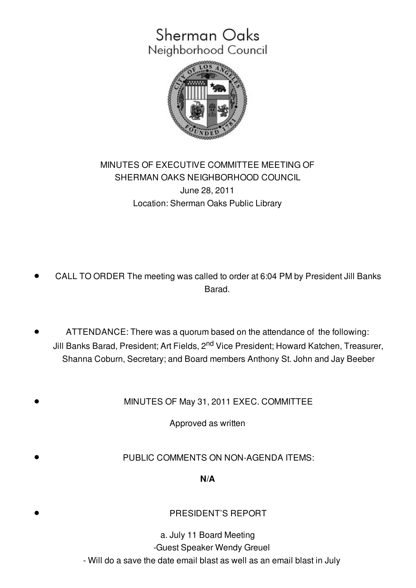# Sherman Oaks Neighborhood Council



## MINUTES OF EXECUTIVE COMMITTEE MEETING OF SHERMAN OAKS NEIGHBORHOOD COUNCIL June 28, 2011 Location: Sherman Oaks Public Library

- CALL TO ORDER The meeting was called to order at 6:04 PM by President Jill Banks Barad.
- ATTENDANCE: There was a quorum based on the attendance of the following: Jill Banks Barad, President; Art Fields, 2<sup>nd</sup> Vice President; Howard Katchen, Treasurer, Shanna Coburn, Secretary; and Board members Anthony St. John and Jay Beeber

MINUTES OF May 31, 2011 EXEC. COMMITTEE

Approved as written

PUBLIC COMMENTS ON NON-AGENDA ITEMS:

**N/A**

#### PRESIDENT'S REPORT

a. July 11 Board Meeting -Guest Speaker Wendy Greuel - Will do a save the date email blast as well as an email blast in July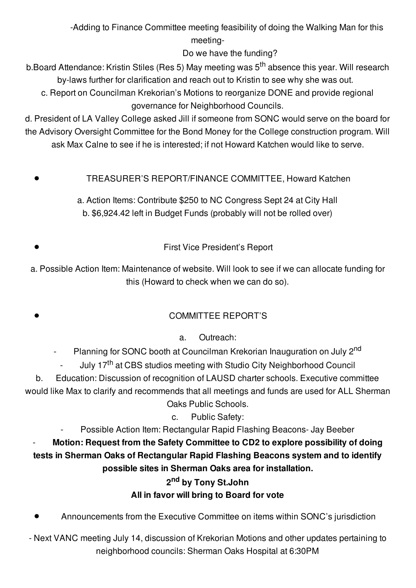-Adding to Finance Committee meeting feasibility of doing the Walking Man for this meeting-

Do we have the funding?

b.Board Attendance: Kristin Stiles (Res 5) May meeting was 5<sup>th</sup> absence this year. Will research by-laws further for clarification and reach out to Kristin to see why she was out.

c. Report on Councilman Krekorian's Motions to reorganize DONE and provide regional governance for Neighborhood Councils.

d. President of LA Valley College asked Jill if someone from SONC would serve on the board for the Advisory Oversight Committee for the Bond Money for the College construction program. Will ask Max Calne to see if he is interested; if not Howard Katchen would like to serve.

TREASURER'S REPORT/FINANCE COMMITTEE, Howard Katchen

a. Action Items: Contribute \$250 to NC Congress Sept 24 at City Hall b. \$6,924.42 left in Budget Funds (probably will not be rolled over)

First Vice President's Report

a. Possible Action Item: Maintenance of website. Will look to see if we can allocate funding for this (Howard to check when we can do so).

## COMMITTEE REPORT'S

a. Outreach:

- Planning for SONC booth at Councilman Krekorian Inauguration on July 2<sup>nd</sup>

- July 17<sup>th</sup> at CBS studios meeting with Studio City Neighborhood Council

b. Education: Discussion of recognition of LAUSD charter schools. Executive committee would like Max to clarify and recommends that all meetings and funds are used for ALL Sherman Oaks Public Schools.

c. Public Safety:

- Possible Action Item: Rectangular Rapid Flashing Beacons- Jay Beeber

- **Motion: Request from the Safety Committee to CD2 to explore possibility of doing tests in Sherman Oaks of Rectangular Rapid Flashing Beacons system and to identify possible sites in Sherman Oaks area for installation.**

## **2 nd by Tony St.John All in favor will bring to Board for vote**

Announcements from the Executive Committee on items within SONC's jurisdiction

- Next VANC meeting July 14, discussion of Krekorian Motions and other updates pertaining to neighborhood councils: Sherman Oaks Hospital at 6:30PM